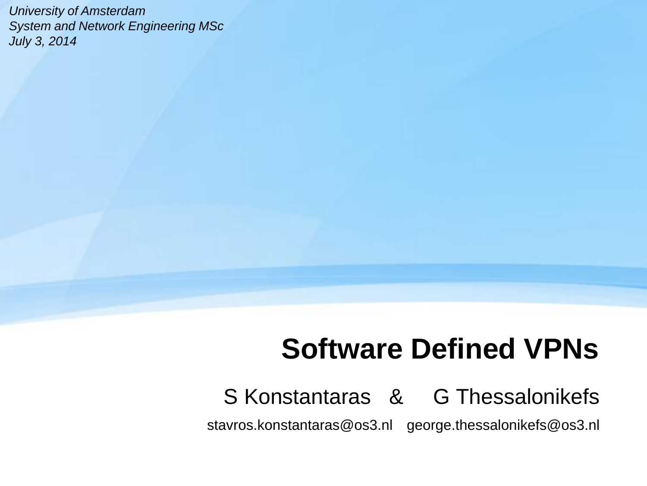*University of Amsterdam System and Network Engineering MSc July 3, 2014* 

# **Software Defined VPNs**

#### S Konstantaras & G Thessalonikefs

stavros.konstantaras@os3.nl george.thessalonikefs@os3.nl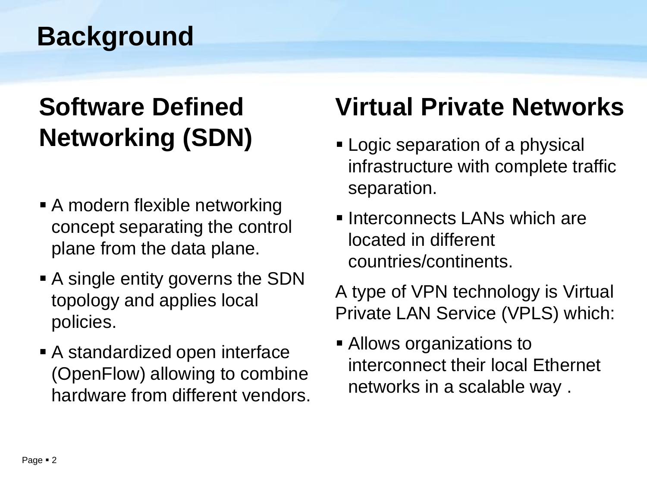# **Background**

# **Software Defined Networking (SDN)**

- A modern flexible networking concept separating the control plane from the data plane.
- **A** single entity governs the SDN topology and applies local policies.
- A standardized open interface (OpenFlow) allowing to combine hardware from different vendors.

# **Virtual Private Networks**

- **Logic separation of a physical** infrastructure with complete traffic separation.
- **Interconnects LANs which are** located in different countries/continents.

A type of VPN technology is Virtual Private LAN Service (VPLS) which:

**Allows organizations to** interconnect their local Ethernet networks in a scalable way .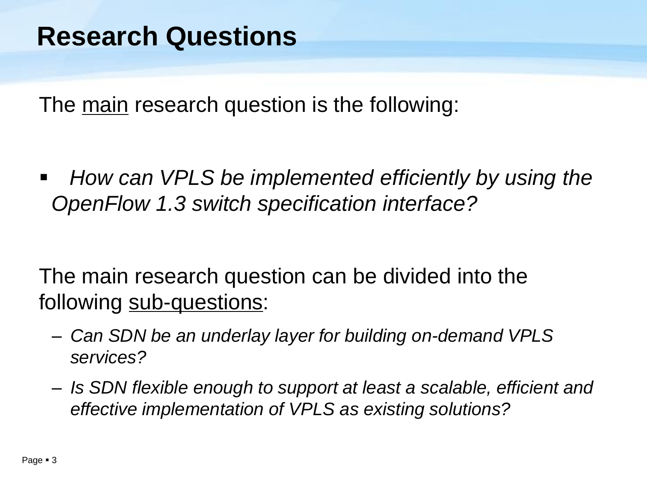The main research question is the following:

 *How can VPLS be implemented efficiently by using the OpenFlow 1.3 switch specification interface?*

The main research question can be divided into the following sub-questions:

- *Can SDN be an underlay layer for building on-demand VPLS services?*
- *Is SDN flexible enough to support at least a scalable, efficient and effective implementation of VPLS as existing solutions?*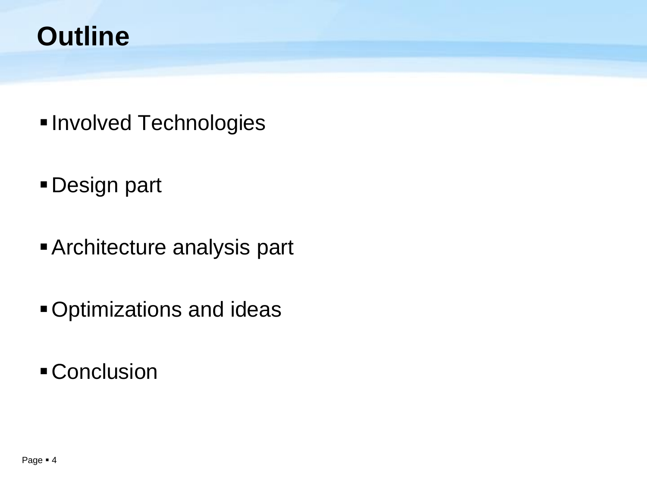## **Outline**

- **Involved Technologies**
- Design part
- Architecture analysis part
- Optimizations and ideas
- **Conclusion**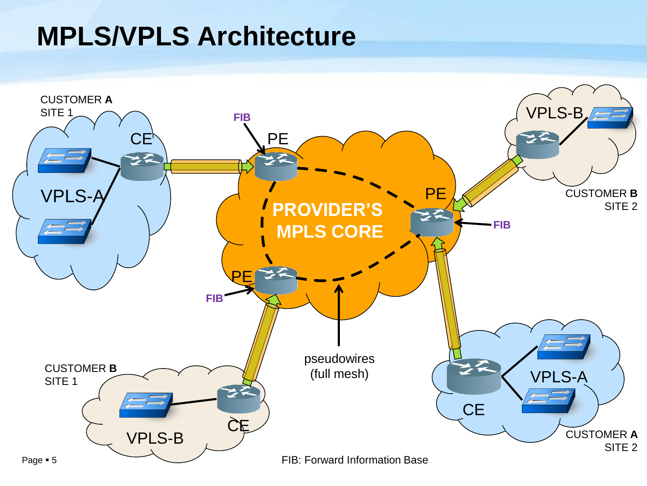#### **MPLS/VPLS Architecture**

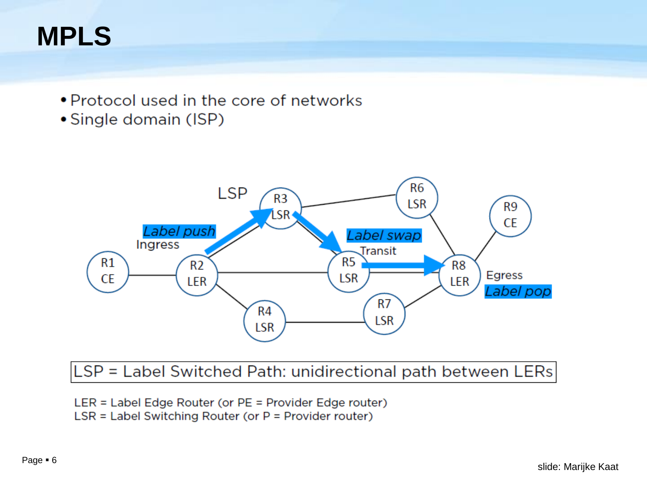# **MPLS**

- Protocol used in the core of networks
- Single domain (ISP)



#### $|LSP = Label$  Switched Path: unidirectional path between LERs $|$

- LER = Label Edge Router (or PE = Provider Edge router)
- $LSR =$  Label Switching Router (or  $P =$  Provider router)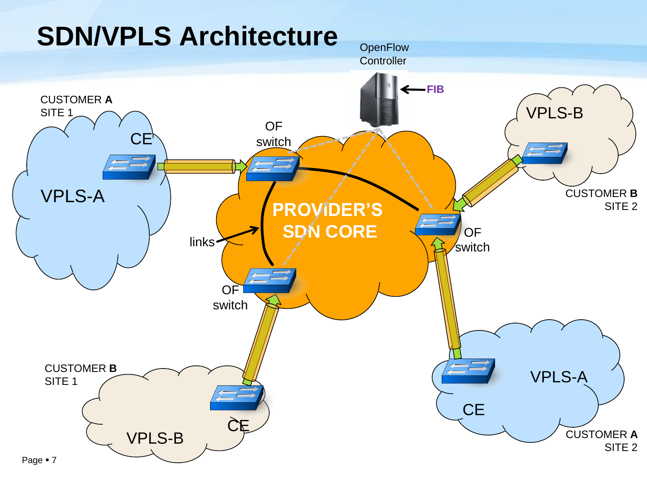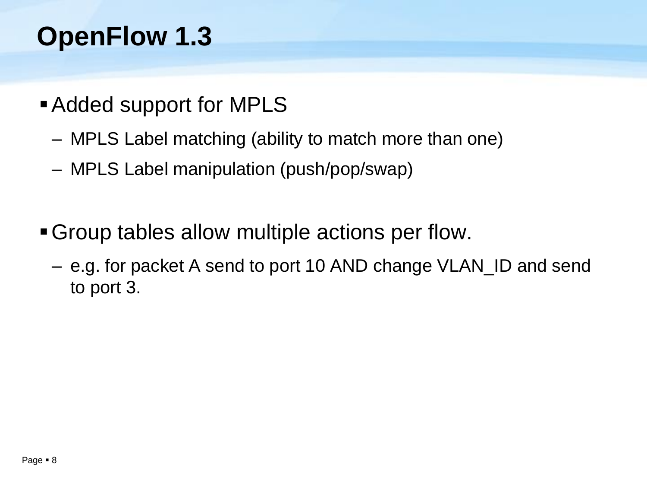# **OpenFlow 1.3**

- **Added support for MPLS** 
	- MPLS Label matching (ability to match more than one)
	- MPLS Label manipulation (push/pop/swap)
- Group tables allow multiple actions per flow.
	- e.g. for packet A send to port 10 AND change VLAN\_ID and send to port 3.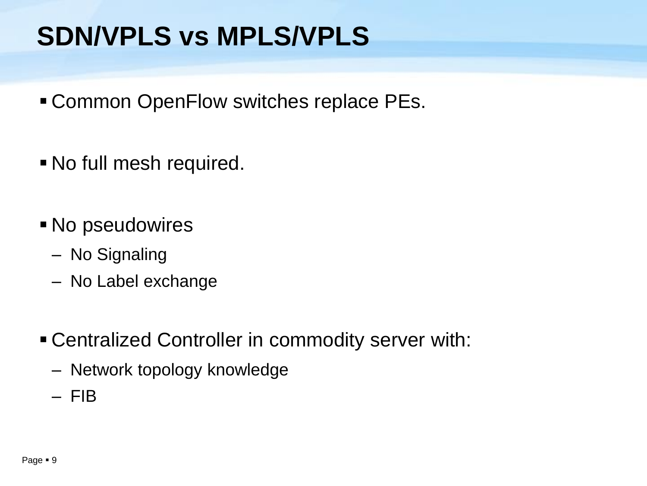# **SDN/VPLS vs MPLS/VPLS**

- Common OpenFlow switches replace PEs.
- No full mesh required.
- No pseudowires
	- No Signaling
	- No Label exchange
- Centralized Controller in commodity server with:
	- Network topology knowledge
	- FIB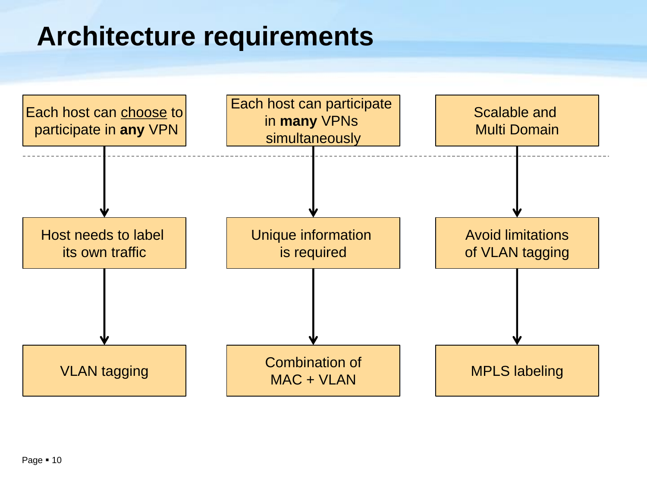## **Architecture requirements**

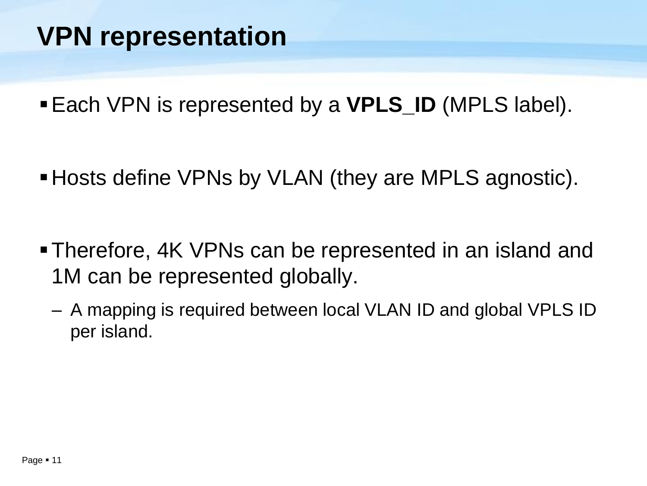# **VPN representation**

Each VPN is represented by a **VPLS\_ID** (MPLS label).

- Hosts define VPNs by VLAN (they are MPLS agnostic).
- Therefore, 4K VPNs can be represented in an island and 1M can be represented globally.
	- A mapping is required between local VLAN ID and global VPLS ID per island.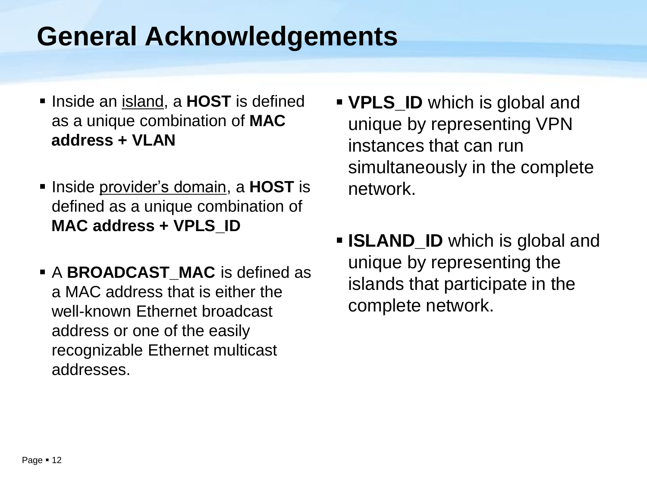## **General Acknowledgements**

- **Inside an island, a HOST** is defined as a unique combination of **MAC address + VLAN**
- **Inside provider's domain, a HOST** is defined as a unique combination of **MAC address + VPLS\_ID**
- A **BROADCAST\_MAC** is defined as a MAC address that is either the well-known Ethernet broadcast address or one of the easily recognizable Ethernet multicast addresses.
- **VPLS\_ID** which is global and unique by representing VPN instances that can run simultaneously in the complete network.
- **ISLAND\_ID** which is global and unique by representing the islands that participate in the complete network.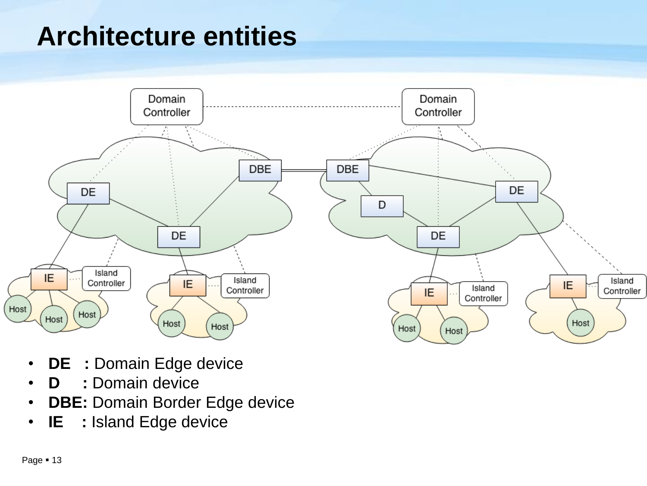# **Architecture entities**



- **DE :** Domain Edge device
- **D :** Domain device
- **DBE:** Domain Border Edge device
- **IE :** Island Edge device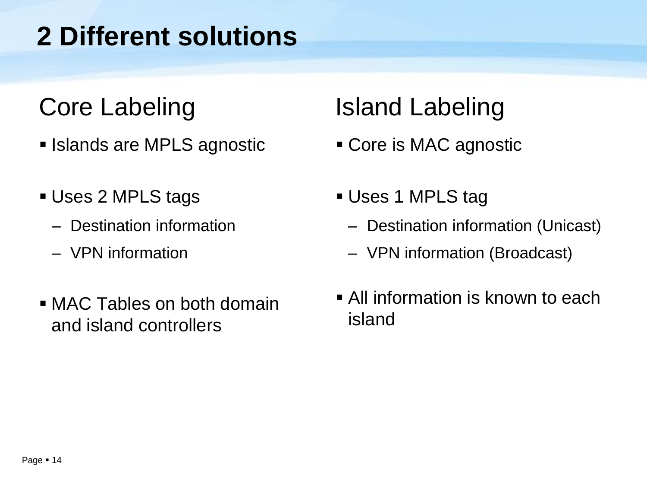# **2 Different solutions**

## Core Labeling

- **Islands are MPLS agnostic**
- Uses 2 MPLS tags
	- Destination information
	- VPN information
- MAC Tables on both domain and island controllers

## Island Labeling

- Core is MAC agnostic
- Uses 1 MPLS tag
	- Destination information (Unicast)
	- VPN information (Broadcast)
- **All information is known to each** island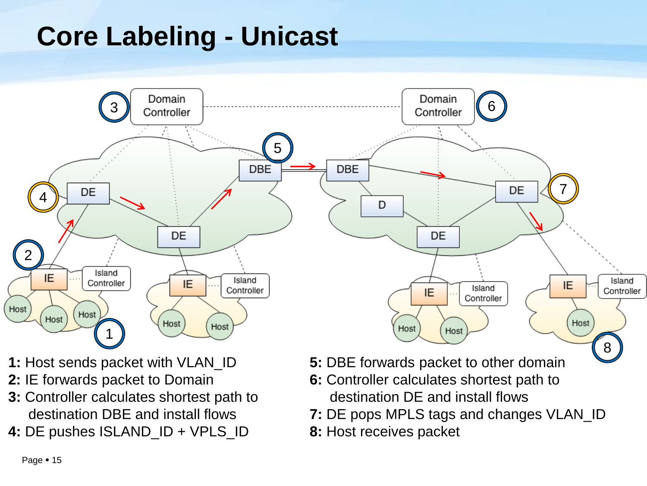# **Core Labeling - Unicast**



- **1:** Host sends packet with VLAN\_ID
- **2:** IE forwards packet to Domain
- **3:** Controller calculates shortest path to destination DBE and install flows
- **4:** DE pushes ISLAND\_ID + VPLS\_ID
- **5:** DBE forwards packet to other domain
- **6:** Controller calculates shortest path to destination DE and install flows
- **7:** DE pops MPLS tags and changes VLAN\_ID
- **8:** Host receives packet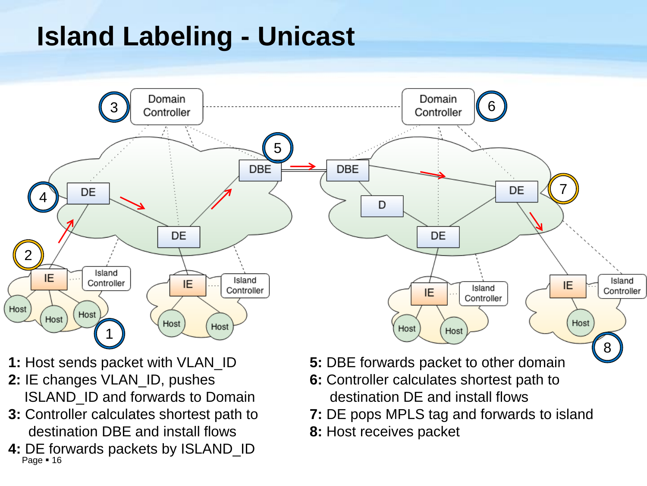# **Island Labeling - Unicast**



- **1:** Host sends packet with VLAN\_ID
- **2:** IE changes VLAN\_ID, pushes ISLAND\_ID and forwards to Domain
- **3:** Controller calculates shortest path to destination DBE and install flows
- Page  $-16$ **4:** DE forwards packets by ISLAND\_ID
- **5:** DBE forwards packet to other domain
- **6:** Controller calculates shortest path to destination DE and install flows
- **7:** DE pops MPLS tag and forwards to island
- **8:** Host receives packet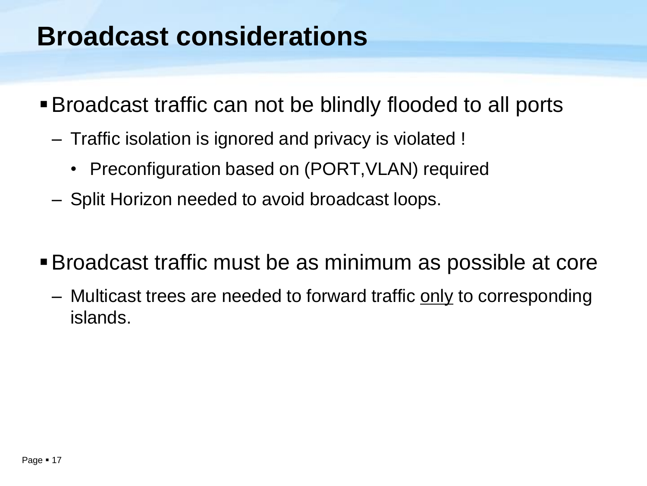#### **Broadcast considerations**

- Broadcast traffic can not be blindly flooded to all ports
	- Traffic isolation is ignored and privacy is violated !
		- Preconfiguration based on (PORT, VLAN) required
	- Split Horizon needed to avoid broadcast loops.
- Broadcast traffic must be as minimum as possible at core
	- Multicast trees are needed to forward traffic only to corresponding islands.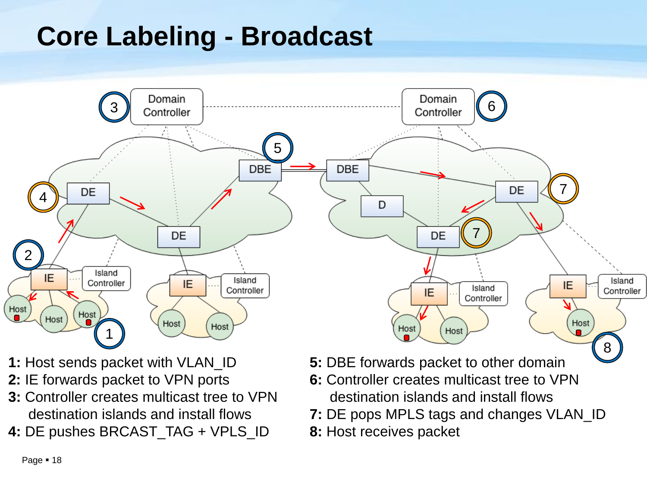# **Core Labeling - Broadcast**



- **1:** Host sends packet with VLAN\_ID
- **2:** IE forwards packet to VPN ports
- **3:** Controller creates multicast tree to VPN destination islands and install flows
- **4:** DE pushes BRCAST\_TAG + VPLS\_ID
- **5:** DBE forwards packet to other domain
- **6:** Controller creates multicast tree to VPN destination islands and install flows
- **7:** DE pops MPLS tags and changes VLAN\_ID
- **8:** Host receives packet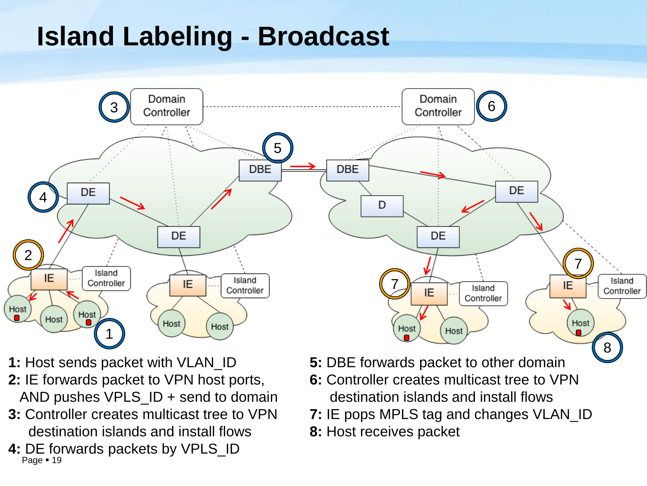# **Island Labeling - Broadcast**



- **1:** Host sends packet with VLAN\_ID
- **2:** IE forwards packet to VPN host ports, AND pushes VPLS\_ID + send to domain
- **3:** Controller creates multicast tree to VPN destination islands and install flows
- Page = 19 **4:** DE forwards packets by VPLS\_ID
- **5:** DBE forwards packet to other domain
- **6:** Controller creates multicast tree to VPN destination islands and install flows
- **7:** IE pops MPLS tag and changes VLAN\_ID
- **8:** Host receives packet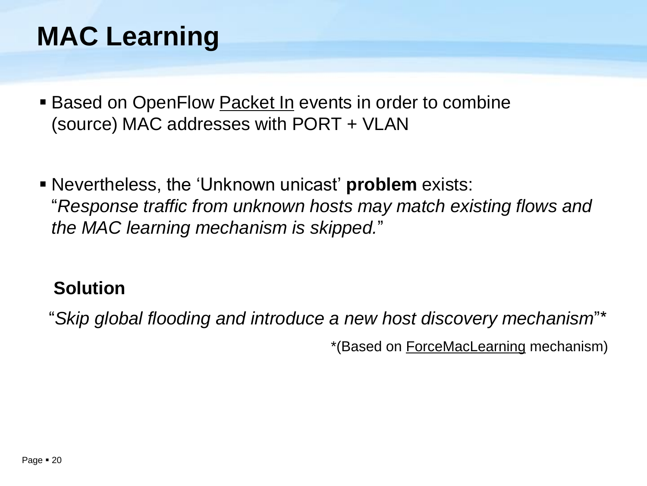# **MAC Learning**

- **Based on OpenFlow Packet In events in order to combine** (source) MAC addresses with PORT + VLAN
- Nevertheless, the 'Unknown unicast' **problem** exists: "*Response traffic from unknown hosts may match existing flows and the MAC learning mechanism is skipped.*"

#### **Solution**

"*Skip global flooding and introduce a new host discovery mechanism*"\*

\*(Based on ForceMacLearning mechanism)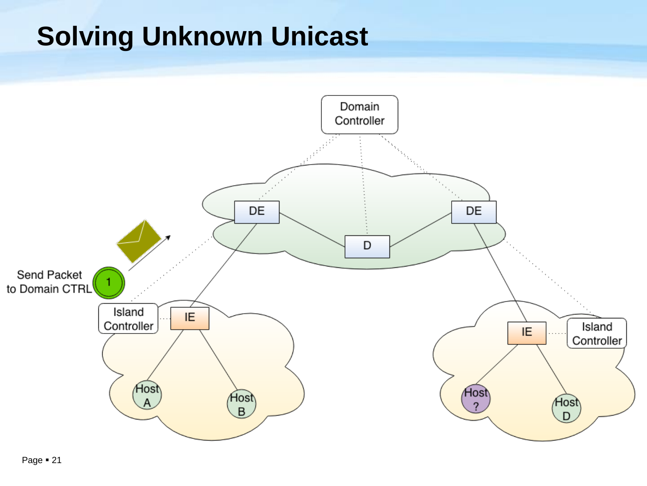# **Solving Unknown Unicast**

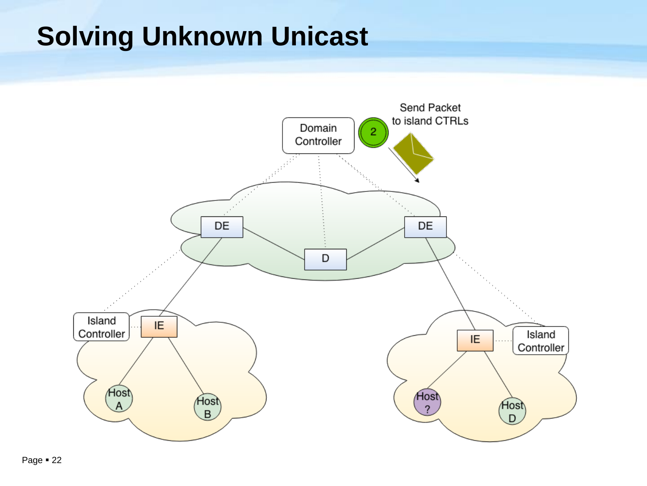# **Solving Unknown Unicast**

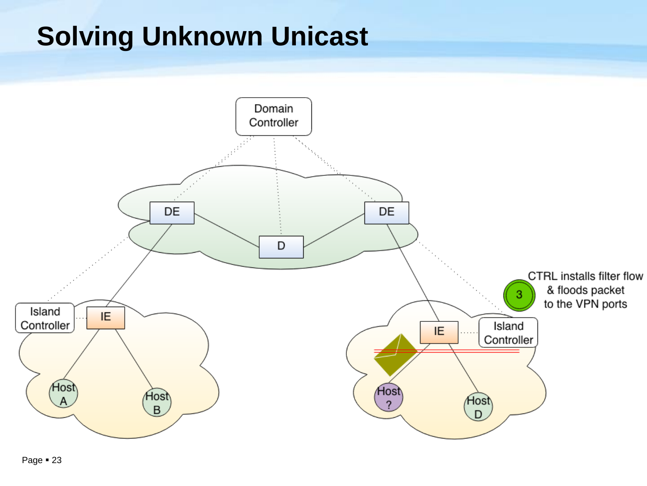# **Solving Unknown Unicast**

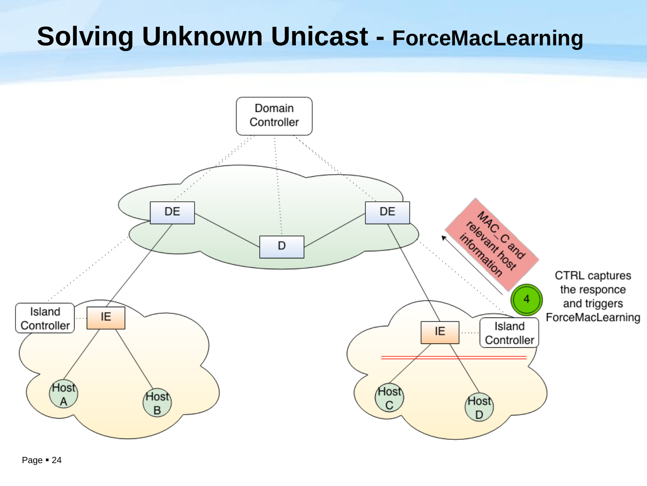# **Solving Unknown Unicast - ForceMacLearning**

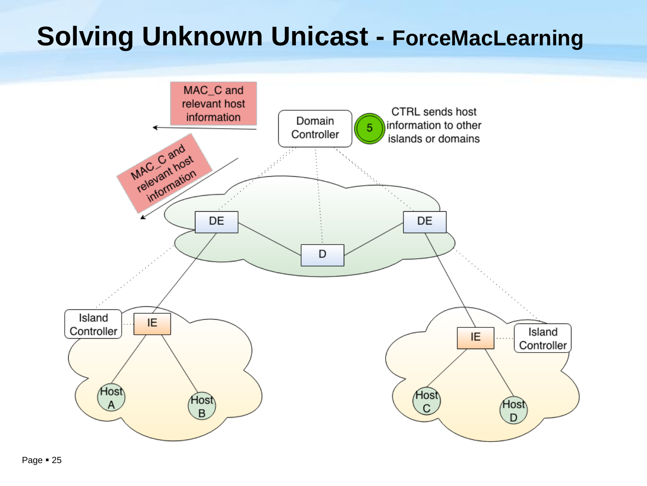## **Solving Unknown Unicast - ForceMacLearning**

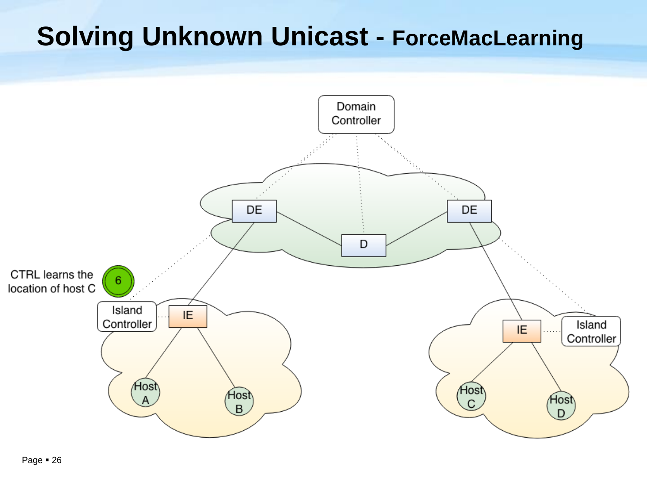## **Solving Unknown Unicast - ForceMacLearning**

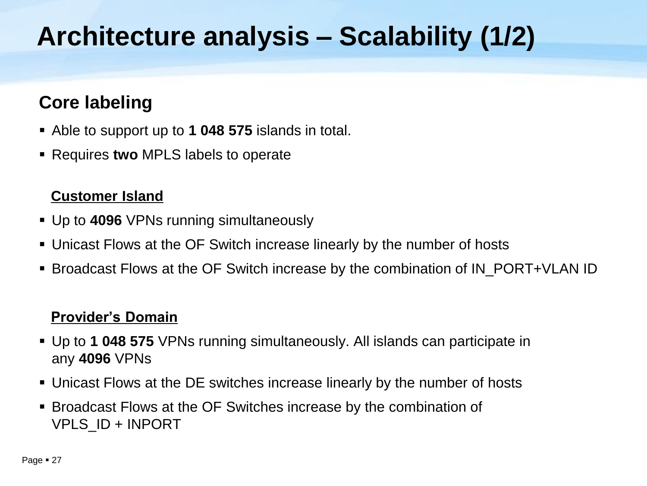# **Architecture analysis – Scalability (1/2)**

#### **Core labeling**

- Able to support up to **1 048 575** islands in total.
- Requires **two** MPLS labels to operate

#### **Customer Island**

- Up to **4096** VPNs running simultaneously
- Unicast Flows at the OF Switch increase linearly by the number of hosts
- Broadcast Flows at the OF Switch increase by the combination of IN\_PORT+VLAN ID

#### **Provider's Domain**

- Up to **1 048 575** VPNs running simultaneously. All islands can participate in any **4096** VPNs
- Unicast Flows at the DE switches increase linearly by the number of hosts
- Broadcast Flows at the OF Switches increase by the combination of VPLS\_ID + INPORT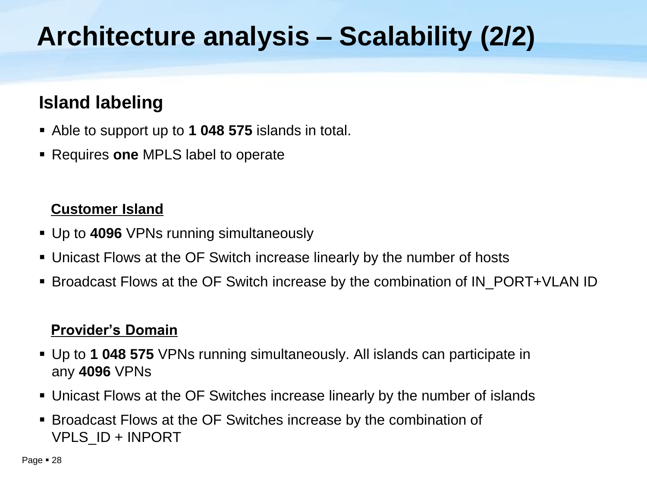# **Architecture analysis – Scalability (2/2)**

#### **Island labeling**

- Able to support up to **1 048 575** islands in total.
- Requires **one** MPLS label to operate

#### **Customer Island**

- Up to **4096** VPNs running simultaneously
- Unicast Flows at the OF Switch increase linearly by the number of hosts
- Broadcast Flows at the OF Switch increase by the combination of IN\_PORT+VLAN ID

#### **Provider's Domain**

- Up to **1 048 575** VPNs running simultaneously. All islands can participate in any **4096** VPNs
- Unicast Flows at the OF Switches increase linearly by the number of islands
- Broadcast Flows at the OF Switches increase by the combination of VPLS\_ID + INPORT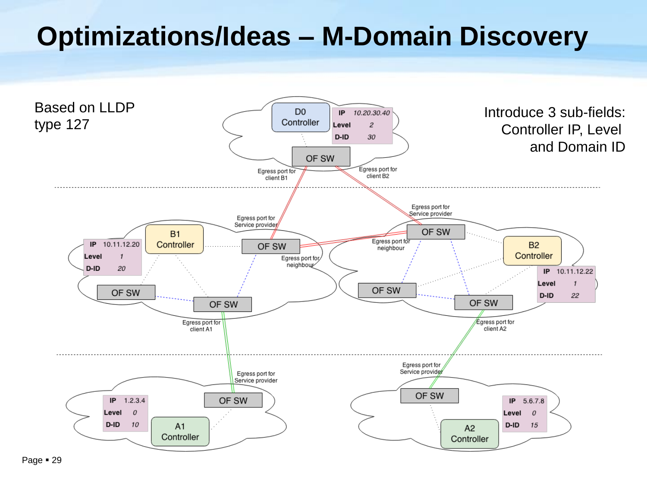# **Optimizations/Ideas – M-Domain Discovery**

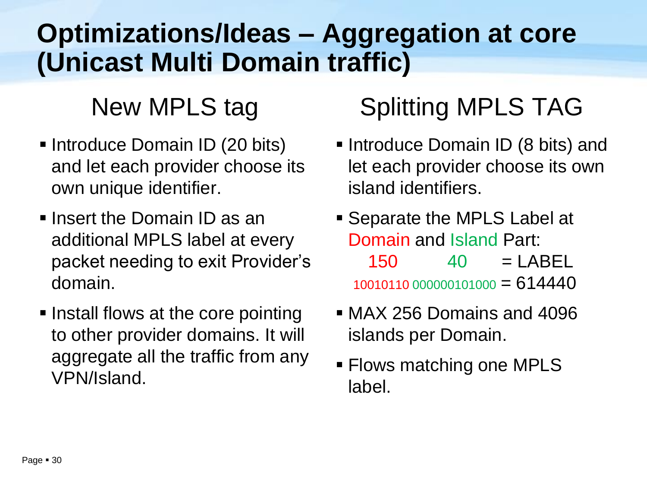# **Optimizations/Ideas – Aggregation at core (Unicast Multi Domain traffic)**

#### New MPLS tag

- **Introduce Domain ID (20 bits)** and let each provider choose its own unique identifier.
- $\blacksquare$  Insert the Domain ID as an additional MPLS label at every packet needing to exit Provider's domain.
- **Install flows at the core pointing** to other provider domains. It will aggregate all the traffic from any VPN/Island.

## Splitting MPLS TAG

- **Introduce Domain ID (8 bits) and** let each provider choose its own island identifiers.
- **Separate the MPLS Label at** Domain and Island Part:  $150 \t 40 = LABEL$ 10010110 000000101000 = 614440
- MAX 256 Domains and 4096 islands per Domain.
- **Flows matching one MPLS** label.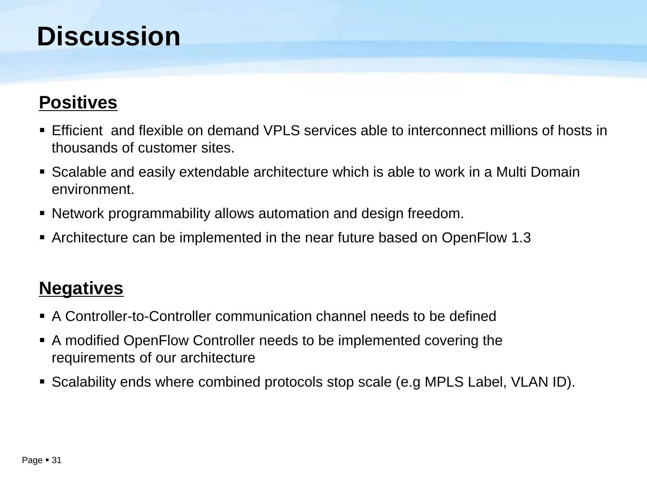#### **Discussion**

#### **Positives**

- Efficient and flexible on demand VPLS services able to interconnect millions of hosts in thousands of customer sites.
- Scalable and easily extendable architecture which is able to work in a Multi Domain environment.
- Network programmability allows automation and design freedom.
- Architecture can be implemented in the near future based on OpenFlow 1.3

#### **Negatives**

- A Controller-to-Controller communication channel needs to be defined
- A modified OpenFlow Controller needs to be implemented covering the requirements of our architecture
- Scalability ends where combined protocols stop scale (e.g MPLS Label, VLAN ID).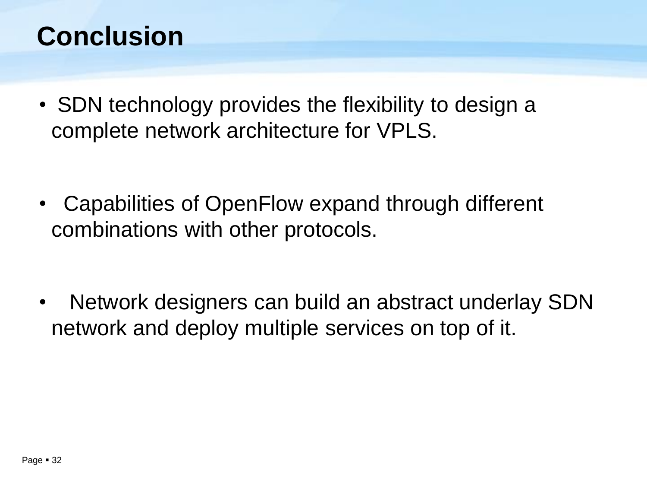#### **Conclusion**

- SDN technology provides the flexibility to design a complete network architecture for VPLS.
- Capabilities of OpenFlow expand through different combinations with other protocols.
- Network designers can build an abstract underlay SDN network and deploy multiple services on top of it.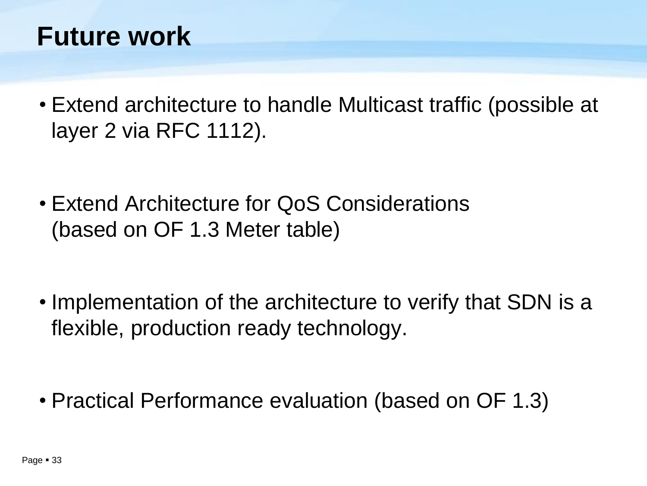#### **Future work**

- Extend architecture to handle Multicast traffic (possible at layer 2 via RFC 1112).
- Extend Architecture for QoS Considerations (based on OF 1.3 Meter table)

- Implementation of the architecture to verify that SDN is a flexible, production ready technology.
- Practical Performance evaluation (based on OF 1.3)